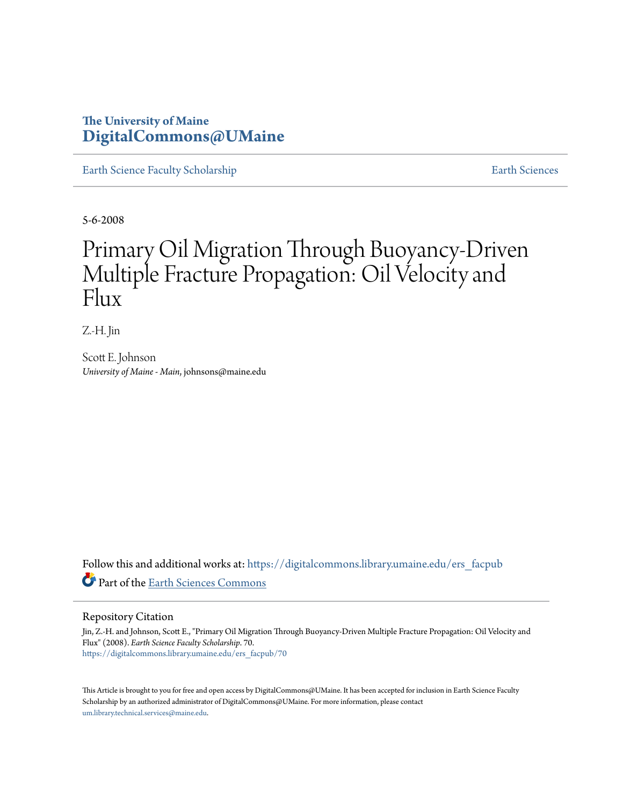# **The University of Maine [DigitalCommons@UMaine](https://digitalcommons.library.umaine.edu?utm_source=digitalcommons.library.umaine.edu%2Fers_facpub%2F70&utm_medium=PDF&utm_campaign=PDFCoverPages)**

[Earth Science Faculty Scholarship](https://digitalcommons.library.umaine.edu/ers_facpub?utm_source=digitalcommons.library.umaine.edu%2Fers_facpub%2F70&utm_medium=PDF&utm_campaign=PDFCoverPages) **[Earth Sciences](https://digitalcommons.library.umaine.edu/ers?utm_source=digitalcommons.library.umaine.edu%2Fers_facpub%2F70&utm_medium=PDF&utm_campaign=PDFCoverPages)** 

5-6-2008

# Primary Oil Migration Through Buoyancy-Driven Multiple Fracture Propagation: Oil Velocity and Flux

Z.-H. Jin

Scott E. Johnson *University of Maine - Main*, johnsons@maine.edu

Follow this and additional works at: [https://digitalcommons.library.umaine.edu/ers\\_facpub](https://digitalcommons.library.umaine.edu/ers_facpub?utm_source=digitalcommons.library.umaine.edu%2Fers_facpub%2F70&utm_medium=PDF&utm_campaign=PDFCoverPages) Part of the [Earth Sciences Commons](http://network.bepress.com/hgg/discipline/153?utm_source=digitalcommons.library.umaine.edu%2Fers_facpub%2F70&utm_medium=PDF&utm_campaign=PDFCoverPages)

## Repository Citation

Jin, Z.-H. and Johnson, Scott E., "Primary Oil Migration Through Buoyancy-Driven Multiple Fracture Propagation: Oil Velocity and Flux" (2008). *Earth Science Faculty Scholarship*. 70. [https://digitalcommons.library.umaine.edu/ers\\_facpub/70](https://digitalcommons.library.umaine.edu/ers_facpub/70?utm_source=digitalcommons.library.umaine.edu%2Fers_facpub%2F70&utm_medium=PDF&utm_campaign=PDFCoverPages)

This Article is brought to you for free and open access by DigitalCommons@UMaine. It has been accepted for inclusion in Earth Science Faculty Scholarship by an authorized administrator of DigitalCommons@UMaine. For more information, please contact [um.library.technical.services@maine.edu](mailto:um.library.technical.services@maine.edu).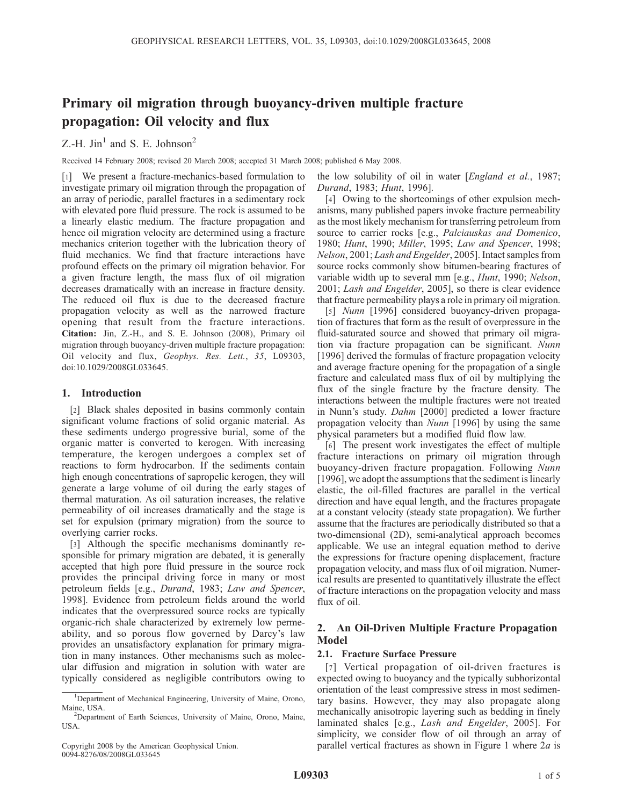# Primary oil migration through buoyancy-driven multiple fracture propagation: Oil velocity and flux

Z.-H. Jin<sup>1</sup> and S. E. Johnson<sup>2</sup>

Received 14 February 2008; revised 20 March 2008; accepted 31 March 2008; published 6 May 2008.

[1] We present a fracture-mechanics-based formulation to investigate primary oil migration through the propagation of an array of periodic, parallel fractures in a sedimentary rock with elevated pore fluid pressure. The rock is assumed to be a linearly elastic medium. The fracture propagation and hence oil migration velocity are determined using a fracture mechanics criterion together with the lubrication theory of fluid mechanics. We find that fracture interactions have profound effects on the primary oil migration behavior. For a given fracture length, the mass flux of oil migration decreases dramatically with an increase in fracture density. The reduced oil flux is due to the decreased fracture propagation velocity as well as the narrowed fracture opening that result from the fracture interactions. Citation: Jin, Z.-H., and S. E. Johnson (2008), Primary oil migration through buoyancy-driven multiple fracture propagation: Oil velocity and flux, Geophys. Res. Lett., 35, L09303, doi:10.1029/2008GL033645.

## 1. Introduction

[2] Black shales deposited in basins commonly contain significant volume fractions of solid organic material. As these sediments undergo progressive burial, some of the organic matter is converted to kerogen. With increasing temperature, the kerogen undergoes a complex set of reactions to form hydrocarbon. If the sediments contain high enough concentrations of sapropelic kerogen, they will generate a large volume of oil during the early stages of thermal maturation. As oil saturation increases, the relative permeability of oil increases dramatically and the stage is set for expulsion (primary migration) from the source to overlying carrier rocks.

[3] Although the specific mechanisms dominantly responsible for primary migration are debated, it is generally accepted that high pore fluid pressure in the source rock provides the principal driving force in many or most petroleum fields [e.g., Durand, 1983; Law and Spencer, 1998]. Evidence from petroleum fields around the world indicates that the overpressured source rocks are typically organic-rich shale characterized by extremely low permeability, and so porous flow governed by Darcy's law provides an unsatisfactory explanation for primary migration in many instances. Other mechanisms such as molecular diffusion and migration in solution with water are typically considered as negligible contributors owing to

the low solubility of oil in water [*England et al.*, 1987; Durand, 1983; Hunt, 1996].

[4] Owing to the shortcomings of other expulsion mechanisms, many published papers invoke fracture permeability as the most likely mechanism for transferring petroleum from source to carrier rocks [e.g., *Palciauskas and Domenico*, 1980; Hunt, 1990; Miller, 1995; Law and Spencer, 1998; Nelson, 2001; Lash and Engelder, 2005]. Intact samples from source rocks commonly show bitumen-bearing fractures of variable width up to several mm [e.g., Hunt, 1990; Nelson, 2001; Lash and Engelder, 2005], so there is clear evidence that fracture permeability plays a role in primary oil migration.

[5] Nunn [1996] considered buoyancy-driven propagation of fractures that form as the result of overpressure in the fluid-saturated source and showed that primary oil migration via fracture propagation can be significant. Nunn [1996] derived the formulas of fracture propagation velocity and average fracture opening for the propagation of a single fracture and calculated mass flux of oil by multiplying the flux of the single fracture by the fracture density. The interactions between the multiple fractures were not treated in Nunn's study. Dahm [2000] predicted a lower fracture propagation velocity than Nunn [1996] by using the same physical parameters but a modified fluid flow law.

[6] The present work investigates the effect of multiple fracture interactions on primary oil migration through buoyancy-driven fracture propagation. Following Nunn [1996], we adopt the assumptions that the sediment is linearly elastic, the oil-filled fractures are parallel in the vertical direction and have equal length, and the fractures propagate at a constant velocity (steady state propagation). We further assume that the fractures are periodically distributed so that a two-dimensional (2D), semi-analytical approach becomes applicable. We use an integral equation method to derive the expressions for fracture opening displacement, fracture propagation velocity, and mass flux of oil migration. Numerical results are presented to quantitatively illustrate the effect of fracture interactions on the propagation velocity and mass flux of oil.

# 2. An Oil-Driven Multiple Fracture Propagation Model

### 2.1. Fracture Surface Pressure

[7] Vertical propagation of oil-driven fractures is expected owing to buoyancy and the typically subhorizontal orientation of the least compressive stress in most sedimentary basins. However, they may also propagate along mechanically anisotropic layering such as bedding in finely laminated shales [e.g., Lash and Engelder, 2005]. For simplicity, we consider flow of oil through an array of parallel vertical fractures as shown in Figure 1 where  $2a$  is

<sup>&</sup>lt;sup>1</sup>Department of Mechanical Engineering, University of Maine, Orono, Maine, USA. <sup>2</sup>

<sup>&</sup>lt;sup>2</sup>Department of Earth Sciences, University of Maine, Orono, Maine, USA.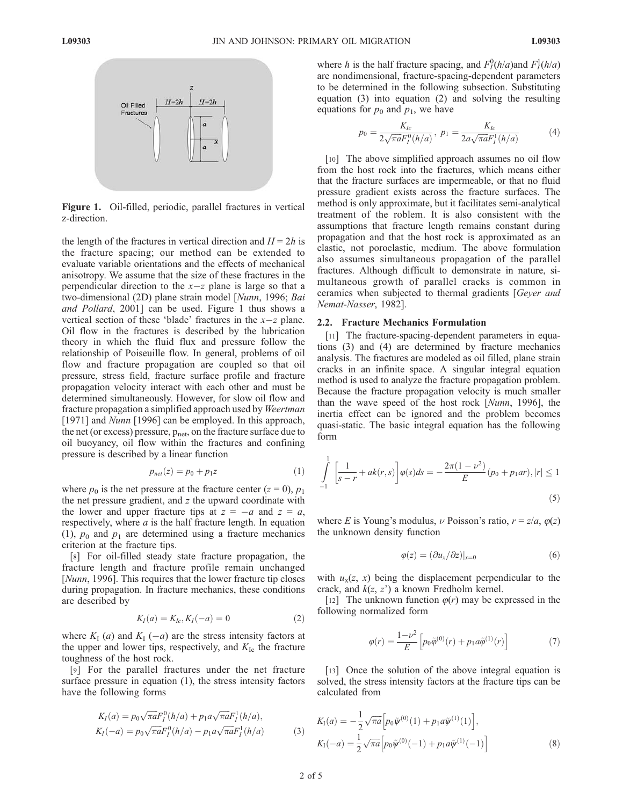

Figure 1. Oil-filled, periodic, parallel fractures in vertical z-direction.

the length of the fractures in vertical direction and  $H = 2h$  is the fracture spacing; our method can be extended to evaluate variable orientations and the effects of mechanical anisotropy. We assume that the size of these fractures in the perpendicular direction to the  $x-z$  plane is large so that a two-dimensional (2D) plane strain model [Nunn, 1996; Bai and Pollard, 2001] can be used. Figure 1 thus shows a vertical section of these 'blade' fractures in the  $x-z$  plane. Oil flow in the fractures is described by the lubrication theory in which the fluid flux and pressure follow the relationship of Poiseuille flow. In general, problems of oil flow and fracture propagation are coupled so that oil pressure, stress field, fracture surface profile and fracture propagation velocity interact with each other and must be determined simultaneously. However, for slow oil flow and fracture propagation a simplified approach used by Weertman [1971] and *Nunn* [1996] can be employed. In this approach, the net (or excess) pressure,  $p_{\text{net}}$ , on the fracture surface due to oil buoyancy, oil flow within the fractures and confining pressure is described by a linear function

$$
p_{net}(z) = p_0 + p_1 z \tag{1}
$$

where  $p_0$  is the net pressure at the fracture center ( $z = 0$ ),  $p_1$ the net pressure gradient, and  $z$  the upward coordinate with the lower and upper fracture tips at  $z = -a$  and  $z = a$ , respectively, where  $a$  is the half fracture length. In equation (1),  $p_0$  and  $p_1$  are determined using a fracture mechanics criterion at the fracture tips.

[8] For oil-filled steady state fracture propagation, the fracture length and fracture profile remain unchanged [*Nunn*, 1996]. This requires that the lower fracture tip closes during propagation. In fracture mechanics, these conditions are described by

$$
K_I(a) = K_{Ic}, K_I(-a) = 0 \tag{2}
$$

where  $K_I(a)$  and  $K_I(-a)$  are the stress intensity factors at the upper and lower tips, respectively, and  $K_{\text{Ic}}$  the fracture toughness of the host rock.

[9] For the parallel fractures under the net fracture surface pressure in equation (1), the stress intensity factors have the following forms

$$
K_I(a) = p_0 \sqrt{\pi a} F_I^0(h/a) + p_1 a \sqrt{\pi a} F_I^1(h/a),
$$
  
\n
$$
K_I(-a) = p_0 \sqrt{\pi a} F_I^0(h/a) - p_1 a \sqrt{\pi a} F_I^1(h/a)
$$
\n(3)

where h is the half fracture spacing, and  $F_I^0(h/a)$  and  $F_I^1(h/a)$ are nondimensional, fracture-spacing-dependent parameters to be determined in the following subsection. Substituting equation (3) into equation (2) and solving the resulting equations for  $p_0$  and  $p_1$ , we have

$$
p_0 = \frac{K_{lc}}{2\sqrt{\pi a}F_l^0(h/a)}, \ p_1 = \frac{K_{lc}}{2a\sqrt{\pi a}F_l^1(h/a)} \tag{4}
$$

[10] The above simplified approach assumes no oil flow from the host rock into the fractures, which means either that the fracture surfaces are impermeable, or that no fluid pressure gradient exists across the fracture surfaces. The method is only approximate, but it facilitates semi-analytical treatment of the roblem. It is also consistent with the assumptions that fracture length remains constant during propagation and that the host rock is approximated as an elastic, not poroelastic, medium. The above formulation also assumes simultaneous propagation of the parallel fractures. Although difficult to demonstrate in nature, simultaneous growth of parallel cracks is common in ceramics when subjected to thermal gradients [Geyer and Nemat-Nasser, 1982].

#### 2.2. Fracture Mechanics Formulation

[11] The fracture-spacing-dependent parameters in equations (3) and (4) are determined by fracture mechanics analysis. The fractures are modeled as oil filled, plane strain cracks in an infinite space. A singular integral equation method is used to analyze the fracture propagation problem. Because the fracture propagation velocity is much smaller than the wave speed of the host rock [Nunn, 1996], the inertia effect can be ignored and the problem becomes quasi-static. The basic integral equation has the following form

$$
\int_{-1}^{1} \left[ \frac{1}{s-r} + ak(r,s) \right] \varphi(s) ds = -\frac{2\pi (1 - \nu^2)}{E} (p_0 + p_1 ar), |r| \le 1
$$
\n(5)

where E is Young's modulus,  $\nu$  Poisson's ratio,  $r = z/a$ ,  $\varphi(z)$ the unknown density function

$$
\varphi(z) = (\partial u_x / \partial z)|_{x=0} \tag{6}
$$

with  $u<sub>x</sub>(z, x)$  being the displacement perpendicular to the crack, and  $k(z, z')$  a known Fredholm kernel.

[12] The unknown function  $\varphi(r)$  may be expressed in the following normalized form

$$
\varphi(r) = \frac{1 - \nu^2}{E} \left[ p_0 \tilde{\varphi}^{(0)}(r) + p_1 a \tilde{\varphi}^{(1)}(r) \right]
$$
(7)

[13] Once the solution of the above integral equation is solved, the stress intensity factors at the fracture tips can be calculated from

$$
K_{\rm I}(a) = -\frac{1}{2}\sqrt{\pi a} \Big[ p_0 \tilde{\psi}^{(0)}(1) + p_1 a \tilde{\psi}^{(1)}(1) \Big],
$$
  
\n
$$
K_{\rm I}(-a) = \frac{1}{2}\sqrt{\pi a} \Big[ p_0 \tilde{\psi}^{(0)}(-1) + p_1 a \tilde{\psi}^{(1)}(-1) \Big] \tag{8}
$$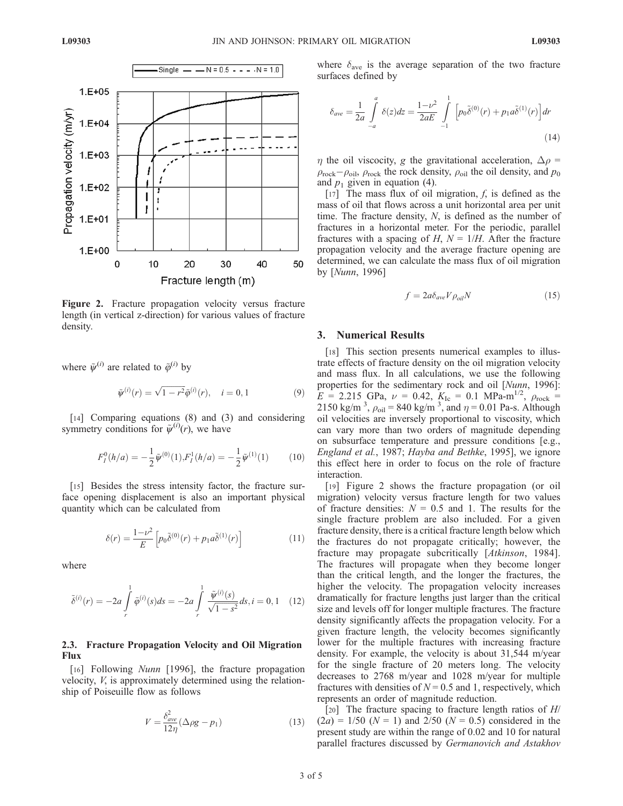

Figure 2. Fracture propagation velocity versus fracture length (in vertical z-direction) for various values of fracture density.

where  $\tilde{\psi}^{(i)}$  are related to  $\tilde{\varphi}^{(i)}$  by

$$
\tilde{\psi}^{(i)}(r) = \sqrt{1 - r^2} \tilde{\phi}^{(i)}(r), \quad i = 0, 1 \tag{9}
$$

[14] Comparing equations (8) and (3) and considering symmetry conditions for  $\tilde{\psi}^{(i)}(r)$ , we have

$$
F_I^0(h/a) = -\frac{1}{2}\tilde{\psi}^{(0)}(1), F_I^1(h/a) = -\frac{1}{2}\tilde{\psi}^{(1)}(1) \tag{10}
$$

[15] Besides the stress intensity factor, the fracture surface opening displacement is also an important physical quantity which can be calculated from

$$
\delta(r) = \frac{1 - \nu^2}{E} \left[ p_0 \tilde{\delta}^{(0)}(r) + p_1 a \tilde{\delta}^{(1)}(r) \right]
$$
 (11)

where

$$
\tilde{\delta}^{(i)}(r) = -2a \int\limits_r^1 \tilde{\varphi}^{(i)}(s)ds = -2a \int\limits_r^1 \frac{\tilde{\psi}^{(i)}(s)}{\sqrt{1-s^2}}ds, i = 0, 1 \quad (12)
$$

#### 2.3. Fracture Propagation Velocity and Oil Migration Flux

[16] Following Nunn [1996], the fracture propagation velocity, V, is approximately determined using the relationship of Poiseuille flow as follows

$$
V = \frac{\delta_{ave}^2}{12\eta} (\Delta \rho g - p_1)
$$
 (13)

where  $\delta_{\text{ave}}$  is the average separation of the two fracture surfaces defined by

$$
\delta_{ave} = \frac{1}{2a} \int_{-a}^{a} \delta(z) dz = \frac{1 - \nu^2}{2aE} \int_{-1}^{1} \left[ p_0 \tilde{\delta}^{(0)}(r) + p_1 a \tilde{\delta}^{(1)}(r) \right] dr \tag{14}
$$

 $\eta$  the oil viscocity, g the gravitational acceleration,  $\Delta \rho$  =  $\rho_{\rm rock}-\rho_{\rm oil}$ ,  $\rho_{\rm rock}$  the rock density,  $\rho_{\rm oil}$  the oil density, and  $p_0$ and  $p_1$  given in equation (4).

[17] The mass flux of oil migration,  $f$ , is defined as the mass of oil that flows across a unit horizontal area per unit time. The fracture density, N, is defined as the number of fractures in a horizontal meter. For the periodic, parallel fractures with a spacing of H,  $N = 1/H$ . After the fracture propagation velocity and the average fracture opening are determined, we can calculate the mass flux of oil migration by [Nunn, 1996]

$$
f = 2a\delta_{ave} V \rho_{oil} N \tag{15}
$$

#### 3. Numerical Results

[18] This section presents numerical examples to illustrate effects of fracture density on the oil migration velocity and mass flux. In all calculations, we use the following properties for the sedimentary rock and oil [Nunn, 1996]:  $E = 2.215$  GPa,  $\nu = 0.42$ ,  $K_{Ic} = 0.1$  MPa-m<sup>1/2</sup>,  $\rho_{rock} =$ 2150 kg/m<sup>3</sup>,  $\rho_{\text{oil}} = 840$  kg/m<sup>3</sup>, and  $\eta = 0.01$  Pa-s. Although oil velocities are inversely proportional to viscosity, which can vary more than two orders of magnitude depending on subsurface temperature and pressure conditions [e.g., England et al., 1987; Hayba and Bethke, 1995], we ignore this effect here in order to focus on the role of fracture interaction.

[19] Figure 2 shows the fracture propagation (or oil migration) velocity versus fracture length for two values of fracture densities:  $N = 0.5$  and 1. The results for the single fracture problem are also included. For a given fracture density, there is a critical fracture length below which the fractures do not propagate critically; however, the fracture may propagate subcritically [Atkinson, 1984]. The fractures will propagate when they become longer than the critical length, and the longer the fractures, the higher the velocity. The propagation velocity increases dramatically for fracture lengths just larger than the critical size and levels off for longer multiple fractures. The fracture density significantly affects the propagation velocity. For a given fracture length, the velocity becomes significantly lower for the multiple fractures with increasing fracture density. For example, the velocity is about 31,544 m/year for the single fracture of 20 meters long. The velocity decreases to 2768 m/year and 1028 m/year for multiple fractures with densities of  $N = 0.5$  and 1, respectively, which represents an order of magnitude reduction.

[20] The fracture spacing to fracture length ratios of  $H/$  $(2a) = 1/50$  ( $N = 1$ ) and 2/50 ( $N = 0.5$ ) considered in the present study are within the range of 0.02 and 10 for natural parallel fractures discussed by Germanovich and Astakhov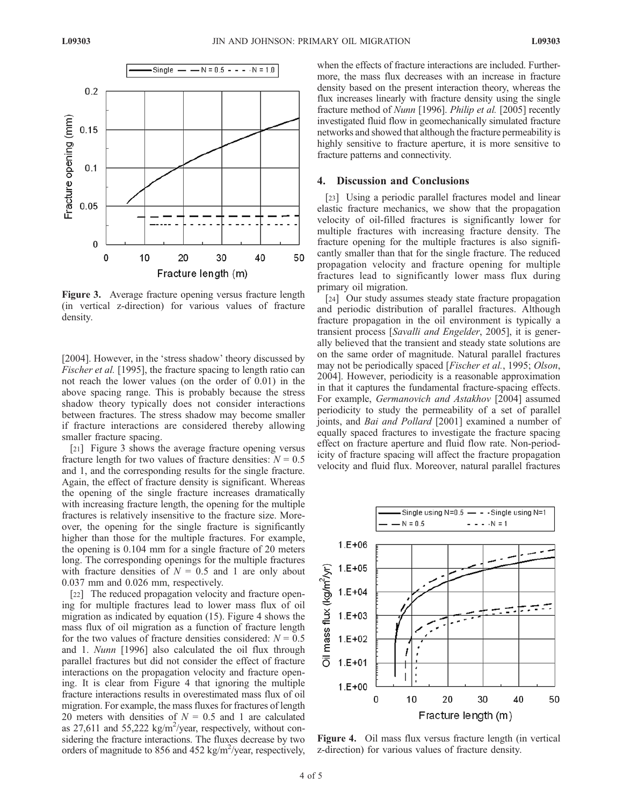

Figure 3. Average fracture opening versus fracture length (in vertical z-direction) for various values of fracture density.

[2004]. However, in the 'stress shadow' theory discussed by Fischer et al. [1995], the fracture spacing to length ratio can not reach the lower values (on the order of 0.01) in the above spacing range. This is probably because the stress shadow theory typically does not consider interactions between fractures. The stress shadow may become smaller if fracture interactions are considered thereby allowing smaller fracture spacing.

[21] Figure 3 shows the average fracture opening versus fracture length for two values of fracture densities:  $N = 0.5$ and 1, and the corresponding results for the single fracture. Again, the effect of fracture density is significant. Whereas the opening of the single fracture increases dramatically with increasing fracture length, the opening for the multiple fractures is relatively insensitive to the fracture size. Moreover, the opening for the single fracture is significantly higher than those for the multiple fractures. For example, the opening is 0.104 mm for a single fracture of 20 meters long. The corresponding openings for the multiple fractures with fracture densities of  $N = 0.5$  and 1 are only about 0.037 mm and 0.026 mm, respectively.

[22] The reduced propagation velocity and fracture opening for multiple fractures lead to lower mass flux of oil migration as indicated by equation (15). Figure 4 shows the mass flux of oil migration as a function of fracture length for the two values of fracture densities considered:  $N = 0.5$ and 1. Nunn [1996] also calculated the oil flux through parallel fractures but did not consider the effect of fracture interactions on the propagation velocity and fracture opening. It is clear from Figure 4 that ignoring the multiple fracture interactions results in overestimated mass flux of oil migration. For example, the mass fluxes for fractures of length 20 meters with densities of  $N = 0.5$  and 1 are calculated as 27,611 and  $55,222$  kg/m<sup>2</sup>/year, respectively, without considering the fracture interactions. The fluxes decrease by two orders of magnitude to 856 and 452 kg/m<sup>2</sup>/year, respectively,

when the effects of fracture interactions are included. Furthermore, the mass flux decreases with an increase in fracture density based on the present interaction theory, whereas the flux increases linearly with fracture density using the single fracture method of Nunn [1996]. Philip et al. [2005] recently investigated fluid flow in geomechanically simulated fracture networks and showed that although the fracture permeability is highly sensitive to fracture aperture, it is more sensitive to fracture patterns and connectivity.

#### 4. Discussion and Conclusions

[23] Using a periodic parallel fractures model and linear elastic fracture mechanics, we show that the propagation velocity of oil-filled fractures is significantly lower for multiple fractures with increasing fracture density. The fracture opening for the multiple fractures is also significantly smaller than that for the single fracture. The reduced propagation velocity and fracture opening for multiple fractures lead to significantly lower mass flux during primary oil migration.

[24] Our study assumes steady state fracture propagation and periodic distribution of parallel fractures. Although fracture propagation in the oil environment is typically a transient process [Savalli and Engelder, 2005], it is generally believed that the transient and steady state solutions are on the same order of magnitude. Natural parallel fractures may not be periodically spaced [*Fischer et al.*, 1995; *Olson*, 2004]. However, periodicity is a reasonable approximation in that it captures the fundamental fracture-spacing effects. For example, Germanovich and Astakhov [2004] assumed periodicity to study the permeability of a set of parallel joints, and Bai and Pollard [2001] examined a number of equally spaced fractures to investigate the fracture spacing effect on fracture aperture and fluid flow rate. Non-periodicity of fracture spacing will affect the fracture propagation velocity and fluid flux. Moreover, natural parallel fractures



Figure 4. Oil mass flux versus fracture length (in vertical z-direction) for various values of fracture density.